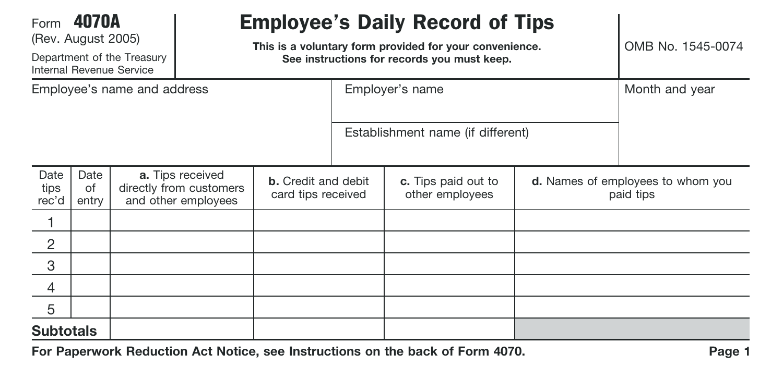| Form 4070A                  | (Rev. August 2005)  | Department of the Treasury<br>Internal Revenue Service | <b>Employee's Daily Record of Tips</b><br>This is a voluntary form provided for your convenience.<br>See instructions for records you must keep. |  |                                   |                                        |  | OMB No. 1545-0074                              |
|-----------------------------|---------------------|--------------------------------------------------------|--------------------------------------------------------------------------------------------------------------------------------------------------|--|-----------------------------------|----------------------------------------|--|------------------------------------------------|
| Employee's name and address |                     |                                                        |                                                                                                                                                  |  | Employer's name                   |                                        |  | Month and year                                 |
|                             |                     |                                                        |                                                                                                                                                  |  | Establishment name (if different) |                                        |  |                                                |
| Date<br>tips<br>rec'd       | Date<br>of<br>entry |                                                        | a. Tips received<br><b>b.</b> Credit and debit<br>directly from customers<br>card tips received<br>and other employees                           |  |                                   | c. Tips paid out to<br>other employees |  | d. Names of employees to whom you<br>paid tips |
|                             |                     |                                                        |                                                                                                                                                  |  |                                   |                                        |  |                                                |
| $\overline{2}$              |                     |                                                        |                                                                                                                                                  |  |                                   |                                        |  |                                                |
| 3                           |                     |                                                        |                                                                                                                                                  |  |                                   |                                        |  |                                                |
| 4                           |                     |                                                        |                                                                                                                                                  |  |                                   |                                        |  |                                                |
| 5                           |                     |                                                        |                                                                                                                                                  |  |                                   |                                        |  |                                                |
| <b>Subtotals</b>            |                     |                                                        |                                                                                                                                                  |  |                                   |                                        |  |                                                |

**For Paperwork Reduction Act Notice, see Instructions on the back of Form 4070.**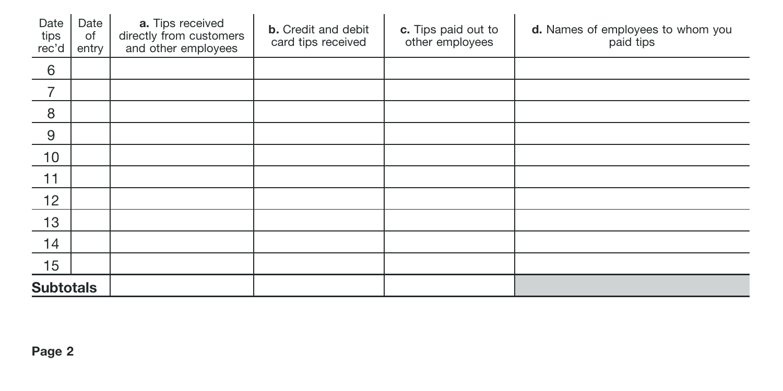| Date<br>tips<br>rec'd | Date<br>of<br>entry | a. Tips received<br>directly from customers<br>and other employees | <b>b.</b> Credit and debit<br>card tips received | c. Tips paid out to<br>other employees | d. Names of employees to whom you<br>paid tips |
|-----------------------|---------------------|--------------------------------------------------------------------|--------------------------------------------------|----------------------------------------|------------------------------------------------|
| 6                     |                     |                                                                    |                                                  |                                        |                                                |
| 7                     |                     |                                                                    |                                                  |                                        |                                                |
| 8                     |                     |                                                                    |                                                  |                                        |                                                |
| 9                     |                     |                                                                    |                                                  |                                        |                                                |
| 10                    |                     |                                                                    |                                                  |                                        |                                                |
| 11                    |                     |                                                                    |                                                  |                                        |                                                |
| 12                    |                     |                                                                    |                                                  |                                        |                                                |
| 13                    |                     |                                                                    |                                                  |                                        |                                                |
| 14                    |                     |                                                                    |                                                  |                                        |                                                |
| 15                    |                     |                                                                    |                                                  |                                        |                                                |
| <b>Subtotals</b>      |                     |                                                                    |                                                  |                                        |                                                |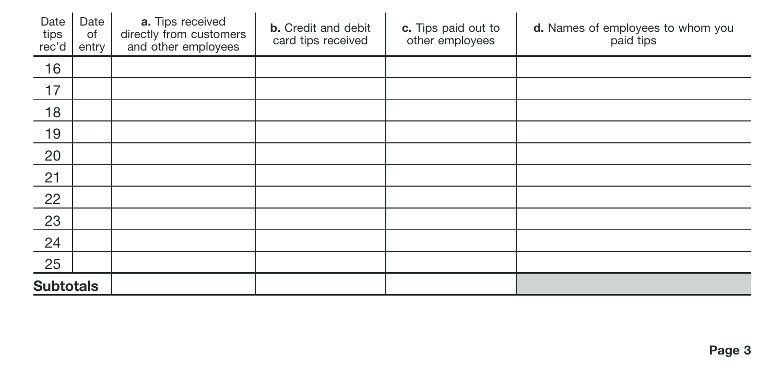| Date<br>tips<br>rec'd | Date<br>of<br>entry | a. Tips received<br>directly from customers<br>and other employees | <b>b.</b> Credit and debit<br>card tips received | c. Tips paid out to<br>other employees | d. Names of employees to whom you<br>paid tips |
|-----------------------|---------------------|--------------------------------------------------------------------|--------------------------------------------------|----------------------------------------|------------------------------------------------|
| 16                    |                     |                                                                    |                                                  |                                        |                                                |
| 17                    |                     |                                                                    |                                                  |                                        |                                                |
| 18                    |                     |                                                                    |                                                  |                                        |                                                |
| 19                    |                     |                                                                    |                                                  |                                        |                                                |
| 20                    |                     |                                                                    |                                                  |                                        |                                                |
| 21                    |                     |                                                                    |                                                  |                                        |                                                |
| 22                    |                     |                                                                    |                                                  |                                        |                                                |
| 23                    |                     |                                                                    |                                                  |                                        |                                                |
| 24                    |                     |                                                                    |                                                  |                                        |                                                |
| 25                    |                     |                                                                    |                                                  |                                        |                                                |
| <b>Subtotals</b>      |                     |                                                                    |                                                  |                                        |                                                |